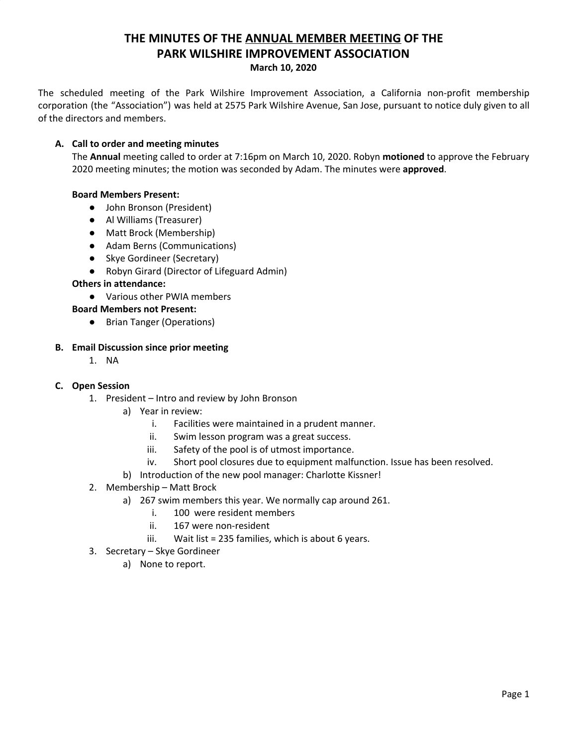# **THE MINUTES OF THE ANNUAL MEMBER MEETING OF THE PARK WILSHIRE IMPROVEMENT ASSOCIATION March 10, 2020**

The scheduled meeting of the Park Wilshire Improvement Association, a California non-profit membership corporation (the "Association") was held at 2575 Park Wilshire Avenue, San Jose, pursuant to notice duly given to all of the directors and members.

## **A. Call to order and meeting minutes**

The **Annual** meeting called to order at 7:16pm on March 10, 2020. Robyn **motioned** to approve the February 2020 meeting minutes; the motion was seconded by Adam. The minutes were **approved**.

# **Board Members Present:**

- John Bronson (President)
- **●** Al Williams (Treasurer)
- Matt Brock (Membership)
- Adam Berns (Communications)
- Skye Gordineer (Secretary)
- Robyn Girard (Director of Lifeguard Admin)

#### **Others in attendance:**

● Various other PWIA members

#### **Board Members not Present:**

● Brian Tanger (Operations)

#### **B. Email Discussion since prior meeting**

1. NA

#### **C. Open Session**

- 1. President Intro and review by John Bronson
	- a) Year in review:
		- i. Facilities were maintained in a prudent manner.
		- ii. Swim lesson program was a great success.
		- iii. Safety of the pool is of utmost importance.
		- iv. Short pool closures due to equipment malfunction. Issue has been resolved.
	- b) Introduction of the new pool manager: Charlotte Kissner!
- 2. Membership Matt Brock
	- a) 267 swim members this year. We normally cap around 261.
		- i. 100 were resident members
		- ii. 167 were non-resident
		- iii. Wait list = 235 families, which is about 6 years.
- 3. Secretary Skye Gordineer
	- a) None to report.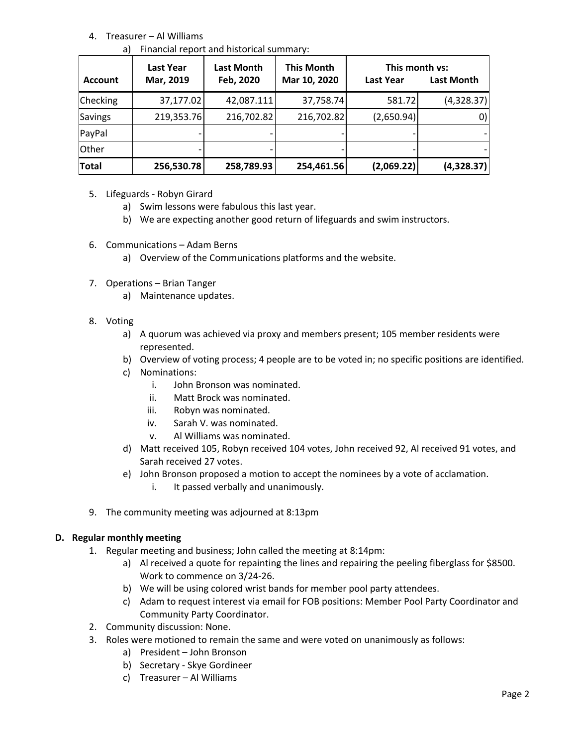# 4. Treasurer – Al Williams

a) Financial report and historical summary:

| <b>Account</b> | <b>Last Year</b><br>Mar, 2019 | Last Month<br>Feb, 2020 | <b>This Month</b><br>Mar 10, 2020 | This month vs:<br><b>Last Year</b> | Last Month  |
|----------------|-------------------------------|-------------------------|-----------------------------------|------------------------------------|-------------|
| Checking       | 37,177.02                     | 42,087.111              | 37,758.74                         | 581.72                             | (4,328.37)  |
| <b>Savings</b> | 219,353.76                    | 216,702.82              | 216,702.82                        | (2,650.94)                         | $ 0\rangle$ |
| PayPal         |                               |                         |                                   |                                    |             |
| Other          |                               |                         |                                   |                                    |             |
| <b>Total</b>   | 256,530.78                    | 258,789.93              | 254,461.56                        | (2,069.22)                         | (4,328.37)  |

- 5. Lifeguards Robyn Girard
	- a) Swim lessons were fabulous this last year.
	- b) We are expecting another good return of lifeguards and swim instructors.
- 6. Communications Adam Berns
	- a) Overview of the Communications platforms and the website.
- 7. Operations Brian Tanger
	- a) Maintenance updates.
- 8. Voting
	- a) A quorum was achieved via proxy and members present; 105 member residents were represented.
	- b) Overview of voting process; 4 people are to be voted in; no specific positions are identified.
	- c) Nominations:
		- i. John Bronson was nominated.
		- ii. Matt Brock was nominated.
		- iii. Robyn was nominated.
		- iv. Sarah V. was nominated.
		- v. Al Williams was nominated.
	- d) Matt received 105, Robyn received 104 votes, John received 92, Al received 91 votes, and Sarah received 27 votes.
	- e) John Bronson proposed a motion to accept the nominees by a vote of acclamation.
		- i. It passed verbally and unanimously.
- 9. The community meeting was adjourned at 8:13pm

#### **D. Regular monthly meeting**

- 1. Regular meeting and business; John called the meeting at 8:14pm:
	- a) Al received a quote for repainting the lines and repairing the peeling fiberglass for \$8500. Work to commence on 3/24-26.
	- b) We will be using colored wrist bands for member pool party attendees.
	- c) Adam to request interest via email for FOB positions: Member Pool Party Coordinator and Community Party Coordinator.
- 2. Community discussion: None.
- 3. Roles were motioned to remain the same and were voted on unanimously as follows:
	- a) President John Bronson
	- b) Secretary Skye Gordineer
	- c) Treasurer Al Williams